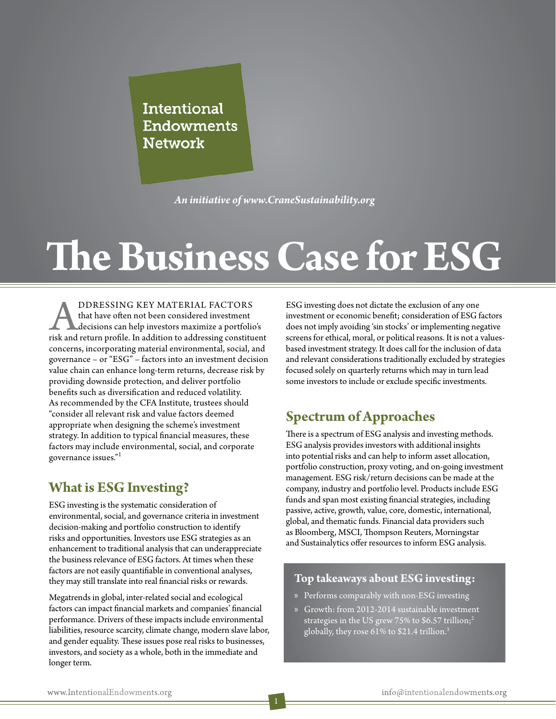Intentional **Endowments Network** 

*An initiative of www.CraneSustainability.org*

# **The Business Case for ESG**

**ADDRESSING KEY MATERIAL FACTORS**<br>that have often not been considered investment<br>decisions can help investors maximize a portfoli<br>risk and return profile. In addition to addressing constitu that have often not been considered investment decisions can help investors maximize a portfolio's risk and return profile. In addition to addressing constituent concerns, incorporating material environmental, social, and governance – or "ESG" – factors into an investment decision value chain can enhance long-term returns, decrease risk by providing downside protection, and deliver portfolio benefits such as diversification and reduced volatility. As recommended by the CFA Institute, trustees should "consider all relevant risk and value factors deemed appropriate when designing the scheme's investment strategy. In addition to typical financial measures, these factors may include environmental, social, and corporate governance issues." $^{\rm h}$ 

## **What is ESG Investing?**

ESG investing is the systematic consideration of environmental, social, and governance criteria in investment decision-making and portfolio construction to identify risks and opportunities. Investors use ESG strategies as an enhancement to traditional analysis that can underappreciate the business relevance of ESG factors. At times when these factors are not easily quantifiable in conventional analyses, they may still translate into real financial risks or rewards.

Megatrends in global, inter-related social and ecological factors can impact financial markets and companies' financial performance. Drivers of these impacts include environmental liabilities, resource scarcity, climate change, modern slave labor, and gender equality. These issues pose real risks to businesses, investors, and society as a whole, both in the immediate and longer term.

ESG investing does not dictate the exclusion of any one investment or economic benefit; consideration of ESG factors does not imply avoiding 'sin stocks' or implementing negative screens for ethical, moral, or political reasons. It is not a valuesbased investment strategy. It does call for the inclusion of data and relevant considerations traditionally excluded by strategies focused solely on quarterly returns which may in turn lead some investors to include or exclude specific investments.

**The Business Case for ESG**

## **Spectrum of Approaches**

There is a spectrum of ESG analysis and investing methods. ESG analysis provides investors with additional insights into potential risks and can help to inform asset allocation, portfolio construction, proxy voting, and on-going investment management. ESG risk/return decisions can be made at the company, industry and portfolio level. Products include ESG funds and span most existing financial strategies, including passive, active, growth, value, core, domestic, international, global, and thematic funds. Financial data providers such as Bloomberg, MSCI, Thompson Reuters, Morningstar and Sustainalytics offer resources to inform ESG analysis.

#### **Top takeaways about ESG investing:**

- » Performs comparably with non-ESG investing
- » Growth: from 2012-2014 sustainable investment strategies in the US grew 75% to \$6.57 trillion;<sup>2</sup> globally, they rose 61% to \$21.4 trillion.<sup>3</sup>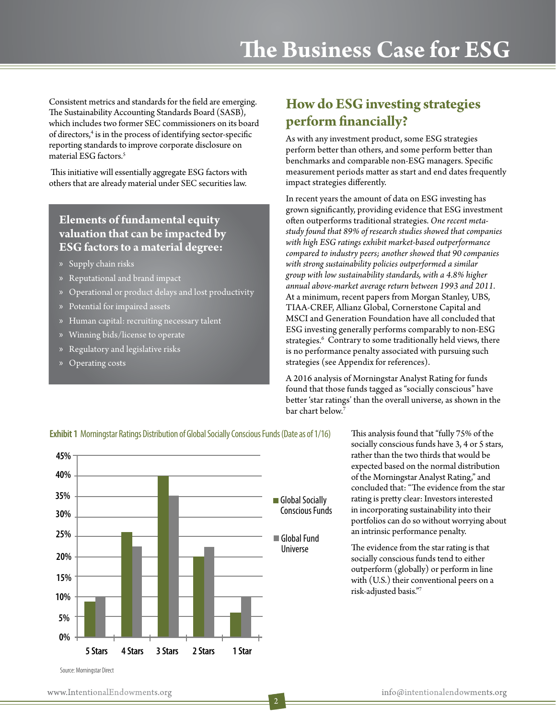Consistent metrics and standards for the field are emerging. The Sustainability Accounting Standards Board (SASB), which includes two former SEC commissioners on its board of directors,<sup>4</sup> is in the process of identifying sector-specific reporting standards to improve corporate disclosure on material ESG factors.<sup>5</sup>

 This initiative will essentially aggregate ESG factors with others that are already material under SEC securities law.

### **Elements of fundamental equity valuation that can be impacted by ESG factors to a material degree:**

- » Supply chain risks
- » Reputational and brand impact
- » Operational or product delays and lost productivity
- » Potential for impaired assets
- » Human capital: recruiting necessary talent
- » Winning bids/license to operate
- » Regulatory and legislative risks
- » Operating costs

# **How do ESG investing strategies perform financially?**

As with any investment product, some ESG strategies perform better than others, and some perform better than benchmarks and comparable non-ESG managers. Specific measurement periods matter as start and end dates frequently impact strategies differently.

In recent years the amount of data on ESG investing has grown significantly, providing evidence that ESG investment often outperforms traditional strategies. *One recent metastudy found that 89% of research studies showed that companies with high ESG ratings exhibit market-based outperformance compared to industry peers; another showed that 90 companies with strong sustainability policies outperformed a similar group with low sustainability standards, with a 4.8% higher annual above-market average return between 1993 and 2011.*  At a minimum, recent papers from Morgan Stanley, UBS, TIAA-CREF, Allianz Global, Cornerstone Capital and MSCI and Generation Foundation have all concluded that ESG investing generally performs comparably to non-ESG strategies.<sup>6</sup> Contrary to some traditionally held views, there is no performance penalty associated with pursuing such strategies (see Appendix for references).

A 2016 analysis of Morningstar Analyst Rating for funds found that those funds tagged as "socially conscious" have better 'star ratings' than the overall universe, as shown in the bar chart below.<sup>7</sup>



**Exhibit 1** Morningstar Ratings Distribution of Global Socially Conscious Funds (Date as of 1/16)

This analysis found that "fully 75% of the socially conscious funds have 3, 4 or 5 stars, rather than the two thirds that would be expected based on the normal distribution of the Morningstar Analyst Rating," and concluded that: "The evidence from the star rating is pretty clear: Investors interested in incorporating sustainability into their portfolios can do so without worrying about an intrinsic performance penalty.

The evidence from the star rating is that socially conscious funds tend to either outperform (globally) or perform in line with (U.S.) their conventional peers on a risk-adjusted basis."7

Source: Morningstar Direct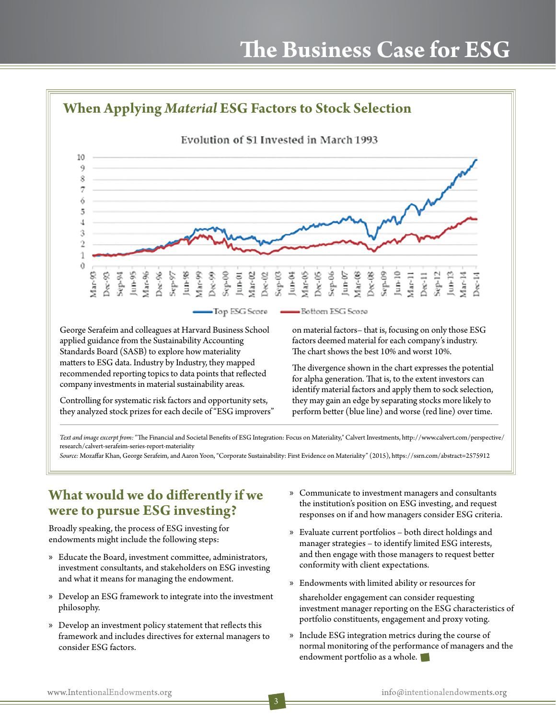

The divergence shown in the chart expresses the potential for alpha generation. That is, to the extent investors can identify material factors and apply them to sock selection, they may gain an edge by separating stocks more likely to perform better (blue line) and worse (red line) over time.

*Text and image excerpt from:* "The Financial and Societal Benefits of ESG Integration: Focus on Materiality," Calvert Investments, http://www.calvert.com/perspective/ research/calvert-serafeim-series-report-materiality

*Source:* Mozaffar Khan, George Serafeim, and Aaron Yoon, "Corporate Sustainability: First Evidence on Materiality" (2015), https://ssrn.com/abstract=2575912

## **What would we do differently if we were to pursue ESG investing?**

recommended reporting topics to data points that reflected company investments in material sustainability areas.

Controlling for systematic risk factors and opportunity sets, they analyzed stock prizes for each decile of "ESG improvers"

Broadly speaking, the process of ESG investing for endowments might include the following steps:

- » Educate the Board, investment committee, administrators, investment consultants, and stakeholders on ESG investing and what it means for managing the endowment.
- » Develop an ESG framework to integrate into the investment philosophy.
- » Develop an investment policy statement that reflects this framework and includes directives for external managers to consider ESG factors.
- » Communicate to investment managers and consultants the institution's position on ESG investing, and request responses on if and how managers consider ESG criteria.
- » Evaluate current portfolios both direct holdings and manager strategies – to identify limited ESG interests, and then engage with those managers to request better conformity with client expectations.
- » Endowments with limited ability or resources for
- shareholder engagement can consider requesting investment manager reporting on the ESG characteristics of portfolio constituents, engagement and proxy voting.
- » Include ESG integration metrics during the course of normal monitoring of the performance of managers and the endowment portfolio as a whole.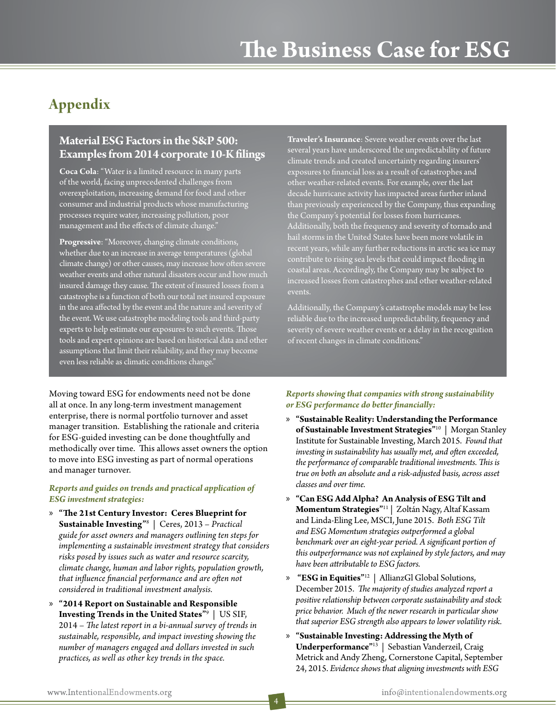# **Appendix**

#### **Material ESG Factors in the S&P 500: Examples from 2014 corporate 10-K filings**

**Coca Cola**: "Water is a limited resource in many parts of the world, facing unprecedented challenges from overexploitation, increasing demand for food and other consumer and industrial products whose manufacturing processes require water, increasing pollution, poor management and the effects of climate change."

**Progressive**: "Moreover, changing climate conditions, whether due to an increase in average temperatures (global climate change) or other causes, may increase how often severe weather events and other natural disasters occur and how much insured damage they cause. The extent of insured losses from a catastrophe is a function of both our total net insured exposure in the area affected by the event and the nature and severity of the event. We use catastrophe modeling tools and third-party experts to help estimate our exposures to such events. Those tools and expert opinions are based on historical data and other assumptions that limit their reliability, and they may become even less reliable as climatic conditions change."

**Traveler's Insurance**: Severe weather events over the last several years have underscored the unpredictability of future climate trends and created uncertainty regarding insurers' exposures to financial loss as a result of catastrophes and other weather-related events. For example, over the last decade hurricane activity has impacted areas further inland than previously experienced by the Company, thus expanding the Company's potential for losses from hurricanes. Additionally, both the frequency and severity of tornado and hail storms in the United States have been more volatile in recent years, while any further reductions in arctic sea ice may contribute to rising sea levels that could impact flooding in coastal areas. Accordingly, the Company may be subject to increased losses from catastrophes and other weather-related events.

Additionally, the Company's catastrophe models may be less reliable due to the increased unpredictability, frequency and severity of severe weather events or a delay in the recognition of recent changes in climate conditions."

Moving toward ESG for endowments need not be done all at once. In any long-term investment management enterprise, there is normal portfolio turnover and asset manager transition. Establishing the rationale and criteria for ESG-guided investing can be done thoughtfully and methodically over time. This allows asset owners the option to move into ESG investing as part of normal operations and manager turnover.

#### *Reports and guides on trends and practical application of ESG investment strategies:*

- » **"The 21st Century Investor: Ceres Blueprint for Sustainable Investing"**<sup>8</sup> | Ceres, 2013 – *Practical guide for asset owners and managers outlining ten steps for implementing a sustainable investment strategy that considers risks posed by issues such as water and resource scarcity, climate change, human and labor rights, population growth, that influence financial performance and are often not considered in traditional investment analysis.*
- » **"2014 Report on Sustainable and Responsible Investing Trends in the United States"**<sup>9</sup> | US SIF, 2014 – *The latest report in a bi-annual survey of trends in sustainable, responsible, and impact investing showing the number of managers engaged and dollars invested in such practices, as well as other key trends in the space.*

#### *Reports showing that companies with strong sustainability or ESG performance do better financially:*

- » **"Sustainable Reality: Understanding the Performance of Sustainable Investment Strategies"**10 | Morgan Stanley Institute for Sustainable Investing, March 2015. *Found that investing in sustainability has usually met, and often exceeded, the performance of comparable traditional investments. This is true on both an absolute and a risk-adjusted basis, across asset classes and over time.*
- » **"Can ESG Add Alpha? An Analysis of ESG Tilt and Momentum Strategies"**11 | Zoltán Nagy, Altaf Kassam and Linda-Eling Lee, MSCI, June 2015. *Both ESG Tilt and ESG Momentum strategies outperformed a global benchmark over an eight-year period. A significant portion of this outperformance was not explained by style factors, and may have been attributable to ESG factors.*
- » **"ESG in Equities"**12 | AllianzGl Global Solutions, December 2015. *The majority of studies analyzed report a positive relationship between corporate sustainability and stock price behavior. Much of the newer research in particular show that superior ESG strength also appears to lower volatility risk.*
- » **"Sustainable Investing: Addressing the Myth of Underperformance"**13 | Sebastian Vanderzeil, Craig Metrick and Andy Zheng, Cornerstone Capital, September 24, 2015. *Evidence shows that aligning investments with ESG*